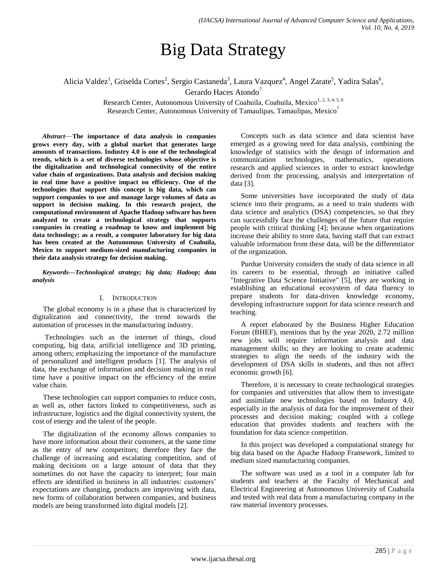# Big Data Strategy

Alicia Valdez<sup>1</sup>, Griselda Cortes<sup>2</sup>, Sergio Castaneda<sup>3</sup>, Laura Vazquez<sup>4</sup>, Angel Zarate<sup>5</sup>, Yadira Salas<sup>6</sup>,

Gerardo Haces Atondo<sup>7</sup>

Research Center, Autonomous University of Coahuila, Coahuila, Mexico<sup>1, 2, 3, 4, 5, 6</sup> Research Center, Autonomous University of Tamaulipas, Tamaulipas, Mexico<sup>7</sup>

*Abstract*—**The importance of data analysis in companies grows every day, with a global market that generates large amounts of transactions. Industry 4.0 is one of the technological trends, which is a set of diverse technologies whose objective is the digitalization and technological connectivity of the entire value chain of organizations. Data analysis and decision making in real time have a positive impact on efficiency. One of the technologies that support this concept is big data, which can support companies to use and manage large volumes of data as support in decision making. In this research project, the computational environment of Apache Hadoop software has been analyzed to create a technological strategy that supports companies in creating a roadmap to know and implement big data technology; as a result, a computer laboratory for big data has been created at the Autonomous University of Coahuila, Mexico to support medium-sized manufacturing companies in their data analysis strategy for decision making.**

*Keywords—Technological strategy; big data; Hadoop; data analysis*

#### I. INTRODUCTION

The global economy is in a phase that is characterized by digitalization and connectivity, the trend towards the automation of processes in the manufacturing industry.

Technologies such as the internet of things, cloud computing, big data, artificial intelligence and 3D printing, among others; emphasizing the importance of the manufacture of personalized and intelligent products [1]. The analysis of data, the exchange of information and decision making in real time have a positive impact on the efficiency of the entire value chain.

These technologies can support companies to reduce costs, as well as, other factors linked to competitiveness, such as infrastructure, logistics and the digital connectivity system, the cost of energy and the talent of the people.

The digitalization of the economy allows companies to have more information about their customers, at the same time as the entry of new competitors; therefore they face the challenge of increasing and escalating competition, and of making decisions on a large amount of data that they sometimes do not have the capacity to interpret; four main effects are identified in business in all industries: customers' expectations are changing, products are improving with data, new forms of collaboration between companies, and business models are being transformed into digital models [2].

Concepts such as data science and data scientist have emerged as a growing need for data analysis, combining the knowledge of statistics with the design of information and communication technologies, mathematics, operations research and applied sciences in order to extract knowledge derived from the processing, analysis and interpretation of data [3].

Some universities have incorporated the study of data science into their programs, as a need to train students with data science and analytics (DSA) competencies, so that they can successfully face the challenges of the future that require people with critical thinking [4]; because when organizations increase their ability to store data, having staff that can extract valuable information from these data, will be the differentiator of the organization.

Purdue University considers the study of data science in all its careers to be essential, through an initiative called "Integrative Data Science Initiative" [5], they are working in establishing an educational ecosystem of data fluency to prepare students for data-driven knowledge economy, developing infrastructure support for data science research and teaching.

A report elaborated by the Business Higher Education Forum (BHEF), mentions that by the year 2020, 2.72 million new jobs will require information analysis and data management skills; so they are looking to create academic strategies to align the needs of the industry with the development of DSA skills in students, and thus not affect economic growth [6].

Therefore, it is necessary to create technological strategies for companies and universities that allow them to investigate and assimilate new technologies based on Industry 4.0, especially in the analysis of data for the improvement of their processes and decision making; coupled with a college education that provides students and teachers with the foundation for data science competition.

In this project was developed a computational strategy for big data based on the Apache Hadoop Framework, limited to medium sized manufacturing companies.

The software was used as a tool in a computer lab for students and teachers at the Faculty of Mechanical and Electrical Engineering at Autonomous University of Coahuila and tested with real data from a manufacturing company in the raw material inventory processes.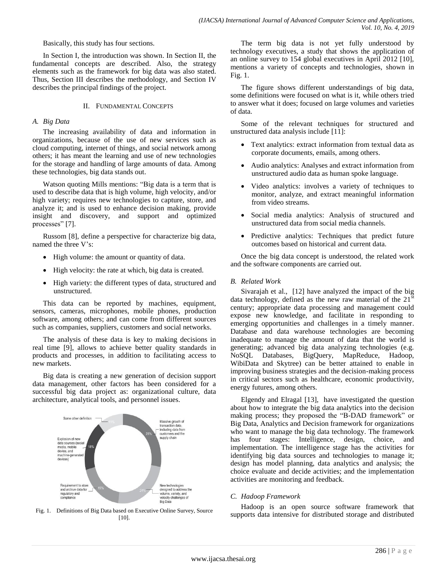Basically, this study has four sections.

In Section I, the introduction was shown. In Section II, the fundamental concepts are described. Also, the strategy elements such as the framework for big data was also stated. Thus, Section III describes the methodology, and Section IV describes the principal findings of the project.

#### II. FUNDAMENTAL CONCEPTS

#### *A. Big Data*

The increasing availability of data and information in organizations, because of the use of new services such as cloud computing, internet of things, and social network among others; it has meant the learning and use of new technologies for the storage and handling of large amounts of data. Among these technologies, big data stands out.

Watson quoting Mills mentions: "Big data is a term that is used to describe data that is high volume, high velocity, and/or high variety; requires new technologies to capture, store, and analyze it; and is used to enhance decision making, provide insight and discovery, and support and optimized processes" [7].

Russom [8], define a perspective for characterize big data, named the three V's:

- High volume: the amount or quantity of data.
- High velocity: the rate at which, big data is created.
- High variety: the different types of data, structured and unstructured.

This data can be reported by machines, equipment, sensors, cameras, microphones, mobile phones, production software, among others; and can come from different sources such as companies, suppliers, customers and social networks.

The analysis of these data is key to making decisions in real time [9], allows to achieve better quality standards in products and processes, in addition to facilitating access to new markets.

Big data is creating a new generation of decision support data management, other factors has been considered for a successful big data project as: organizational culture, data architecture, analytical tools, and personnel issues.



Fig. 1. Definitions of Big Data based on Executive Online Survey, Source [10].

The term big data is not yet fully understood by technology executives, a study that shows the application of an online survey to 154 global executives in April 2012 [10], mentions a variety of concepts and technologies, shown in Fig. 1.

The figure shows different understandings of big data, some definitions were focused on what is it, while others tried to answer what it does; focused on large volumes and varieties of data.

Some of the relevant techniques for structured and unstructured data analysis include [11]:

- Text analytics: extract information from textual data as corporate documents, emails, among others.
- Audio analytics: Analyses and extract information from unstructured audio data as human spoke language.
- Video analytics: involves a variety of techniques to monitor, analyze, and extract meaningful information from video streams.
- Social media analytics: Analysis of structured and unstructured data from social media channels.
- Predictive analytics: Techniques that predict future outcomes based on historical and current data.

Once the big data concept is understood, the related work and the software components are carried out.

### *B. Related Work*

Sivarajah et al., [12] have analyzed the impact of the big data technology, defined as the new raw material of the  $21<sup>st</sup>$ century; appropriate data processing and management could expose new knowledge, and facilitate in responding to emerging opportunities and challenges in a timely manner. Database and data warehouse technologies are becoming inadequate to manage the amount of data that the world is generating; advanced big data analyzing technologies (e.g. NoSQL Databases, BigQuery, MapReduce, Hadoop, WibiData and Skytree) can be better attained to enable in improving business strategies and the decision-making process in critical sectors such as healthcare, economic productivity, energy futures, among others.

Elgendy and Elragal [13], have investigated the question about how to integrate the big data analytics into the decision making process; they proposed the "B-DAD framework" or Big Data, Analytics and Decision framework for organizations who want to manage the big data technology. The framework has four stages: Intelligence, design, choice, and implementation. The intelligence stage has the activities for identifying big data sources and technologies to manage it; design has model planning, data analytics and analysis; the choice evaluate and decide activities; and the implementation activities are monitoring and feedback.

#### *C. Hadoop Framework*

Hadoop is an open source software framework that supports data intensive for distributed storage and distributed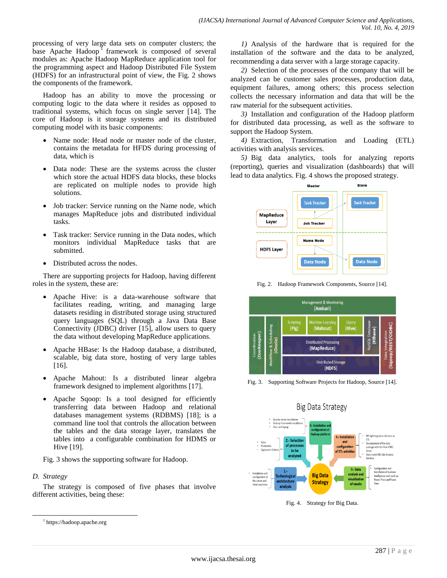processing of very large data sets on computer clusters; the base Apache Hadoop<sup>1</sup> framework is composed of several modules as: Apache Hadoop MapReduce application tool for the programming aspect and Hadoop Distributed File System (HDFS) for an infrastructural point of view, the Fig. 2 shows the components of the framework.

Hadoop has an ability to move the processing or computing logic to the data where it resides as opposed to traditional systems, which focus on single server [14]. The core of Hadoop is it storage systems and its distributed computing model with its basic components:

- Name node: Head node or master node of the cluster, contains the metadata for HFDS during processing of data, which is
- Data node: These are the systems across the cluster which store the actual HDFS data blocks, these blocks are replicated on multiple nodes to provide high solutions.
- Job tracker: Service running on the Name node, which manages MapReduce jobs and distributed individual tasks.
- Task tracker: Service running in the Data nodes, which monitors individual MapReduce tasks that are submitted.
- Distributed across the nodes.

There are supporting projects for Hadoop, having different roles in the system, these are:

- Apache Hive: is a data-warehouse software that facilitates reading, writing, and managing large datasets residing in distributed storage using structured query languages (SQL) through a Java Data Base Connectivity (JDBC) driver [15], allow users to query the data without developing MapReduce applications.
- Apache HBase: Is the Hadoop database, a distributed, scalable, big data store, hosting of very large tables [16].
- Apache Mahout: Is a distributed linear algebra framework designed to implement algorithms [17].
- Apache Sqoop: Is a tool designed for efficiently transferring data between Hadoop and relational databases management systems (RDBMS) [18]; is a command line tool that controls the allocation between the tables and the data storage layer, translates the tables into a configurable combination for HDMS or Hive [19].

Fig. 3 shows the supporting software for Hadoop.

## *D. Strategy*

l

The strategy is composed of five phases that involve different activities, being these:

*1)* Analysis of the hardware that is required for the installation of the software and the data to be analyzed, recommending a data server with a large storage capacity.

*2)* Selection of the processes of the company that will be analyzed can be customer sales processes, production data, equipment failures, among others; this process selection collects the necessary information and data that will be the raw material for the subsequent activities.

*3)* Installation and configuration of the Hadoop platform for distributed data processing, as well as the software to support the Hadoop System.

*4)* Extraction, Transformation and Loading (ETL) activities with analysis services.

*5)* Big data analytics, tools for analyzing reports (reporting), queries and visualization (dashboards) that will lead to data analytics. Fig. 4 shows the proposed strategy.



Fig. 2. Hadoop Framework Components, Source [14].







Fig. 4. Strategy for Big Data.

<sup>1</sup> https://hadoop.apache.org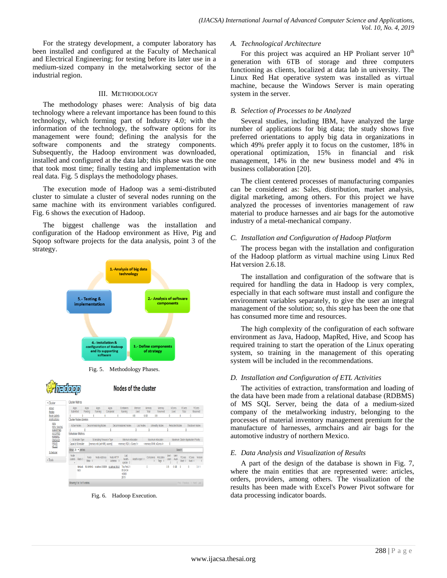For the strategy development, a computer laboratory has been installed and configured at the Faculty of Mechanical and Electrical Engineering; for testing before its later use in a medium-sized company in the metalworking sector of the industrial region.

#### III. METHODOLOGY

The methodology phases were: Analysis of big data technology where a relevant importance has been found to this technology, which forming part of Industry 4.0; with the information of the technology, the software options for its management were found; defining the analysis for the software components and the strategy components. Subsequently, the Hadoop environment was downloaded, installed and configured at the data lab; this phase was the one that took most time; finally testing and implementation with real data. Fig. 5 displays the methodology phases.

The execution mode of Hadoop was a semi-distributed cluster to simulate a cluster of several nodes running on the same machine with its environment variables configured. Fig. 6 shows the execution of Hadoop.

The biggest challenge was the installation and configuration of the Hadoop environment as Hive, Pig and Sqoop software projects for the data analysis, point 3 of the strategy.



Fig. 5. Methodology Phases.

Nodes of the cluster

**Cilendario** 

|                                                                                        | <b>Cluster Metrics</b> |                                 |                               |                                 |                                           |                                      |                                           |                                      |                |                       |                         |                               |                           |
|----------------------------------------------------------------------------------------|------------------------|---------------------------------|-------------------------------|---------------------------------|-------------------------------------------|--------------------------------------|-------------------------------------------|--------------------------------------|----------------|-----------------------|-------------------------|-------------------------------|---------------------------|
| Apps<br>Submitted                                                                      |                        | Apps<br>Pending                 | Apps<br>Running               | ADDS<br>Completed               | Containers<br>Running                     | Memory<br>Used                       | Memory<br>Total                           | Memory<br>Reserved                   |                | <b>VCores</b><br>Used | VCores<br>Total         |                               | <b>VCores</b><br>Reserved |
|                                                                                        |                        |                                 | ٥                             | ٥                               |                                           | 0B                                   | 6 GB                                      | 0B                                   | Λ              |                       | 8                       | 0                             |                           |
| <b>Cluster Nodes Metrics</b>                                                           |                        |                                 |                               |                                 |                                           |                                      |                                           |                                      |                |                       |                         |                               |                           |
| Active Nodes                                                                           |                        |                                 | Decommissioning Nodes         |                                 | <b>Decommissioned Nodes</b>               | Lost Nodes<br><b>Unhealthy Nodes</b> |                                           |                                      | Rebooted Nodes |                       |                         | Shutdown Nodes                |                           |
| <b>NEW SAVING</b><br><b>SUBMITTED</b>                                                  |                        |                                 |                               |                                 |                                           |                                      |                                           |                                      |                |                       |                         |                               |                           |
| <b>Scheduler Metrics</b>                                                               |                        |                                 |                               |                                 |                                           |                                      |                                           |                                      |                |                       |                         |                               |                           |
| Maximum Allocation<br>Scheduling Resource Type<br>Minimum Allocation<br>Scheduler Type |                        |                                 |                               |                                 |                                           |                                      |                                           | Maximum Cluster Application Priority |                |                       |                         |                               |                           |
|                                                                                        |                        |                                 |                               |                                 |                                           |                                      |                                           |                                      |                |                       |                         |                               |                           |
|                                                                                        | Capacity Scheduler     |                                 | imemory-mb (unit=Mi), ycoresi |                                 | <memori:1024. vcores:1=""></memori:1024.> |                                      | <memori:6144. vcores:4=""></memori:6144.> |                                      | 0              |                       |                         |                               |                           |
|                                                                                        | Show 20 . entries      |                                 |                               |                                 |                                           |                                      |                                           |                                      |                |                       | Search:                 |                               |                           |
| Node<br>Labels                                                                         | Rack ÷                 | <b>Node</b><br>State $\diamond$ | Node Address<br>é             | Node HTTP<br>Address $\diamond$ | Last<br>health-<br>update ¢               | Health-report ¢                      | Containers                                | Allocation<br>Tags 4                 | Mem<br>Used    | Mem<br>Avail          | <b>VCores</b><br>Used * | <b>VCores</b><br>Arail $\phi$ | Version                   |

Fig. 6. Hadoop Execution.

#### *A. Technological Architecture*

For this project was acquired an HP Proliant server  $10<sup>th</sup>$ generation with 6TB of storage and three computers functioning as clients, localized at data lab in university. The Linux Red Hat operative system was installed as virtual machine, because the Windows Server is main operating system in the server.

#### *B. Selection of Processes to be Analyzed*

Several studies, including IBM, have analyzed the large number of applications for big data; the study shows five preferred orientations to apply big data in organizations in which 49% prefer apply it to focus on the customer, 18% in operational optimization, 15% in financial and risk management, 14% in the new business model and 4% in business collaboration [20].

The client centered processes of manufacturing companies can be considered as: Sales, distribution, market analysis, digital marketing, among others. For this project we have analyzed the processes of inventories management of raw material to produce harnesses and air bags for the automotive industry of a metal-mechanical company.

### *C. Installation and Configuration of Hadoop Platform*

The process began with the installation and configuration of the Hadoop platform as virtual machine using Linux Red Hat version 2.6.18.

The installation and configuration of the software that is required for handling the data in Hadoop is very complex, especially in that each software must install and configure the environment variables separately, to give the user an integral management of the solution; so, this step has been the one that has consumed more time and resources.

The high complexity of the configuration of each software environment as Java, Hadoop, MapRed, Hive, and Scoop has required training to start the operation of the Linux operating system, so training in the management of this operating system will be included in the recommendations.

## *D. Installation and Configuration of ETL Activities*

The activities of extraction, transformation and loading of the data have been made from a relational database (RDBMS) of MS SQL Server, being the data of a medium-sized company of the metalworking industry, belonging to the processes of material inventory management premium for the manufacture of harnesses, armchairs and air bags for the automotive industry of northern Mexico.

#### *E. Data Analysis and Visualization of Results*

A part of the design of the database is shown in Fig. 7, where the main entities that are represented were: articles, orders, providers, among others. The visualization of the results has been made with Excel's Power Pivot software for data processing indicator boards.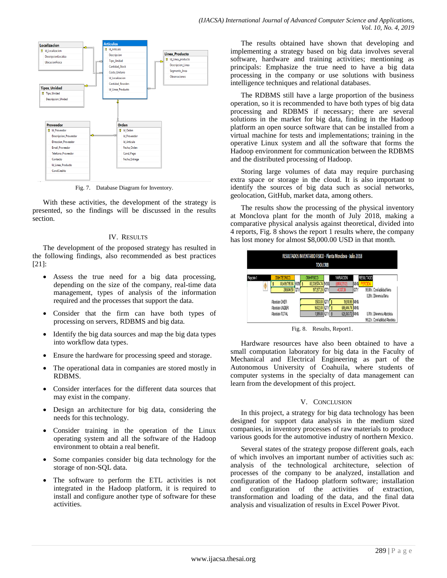

Fig. 7. Database Diagram for Inventory.

With these activities, the development of the strategy is presented, so the findings will be discussed in the results section.

#### IV. RESULTS

The development of the proposed strategy has resulted in the following findings, also recommended as best practices [21]:

- Assess the true need for a big data processing, depending on the size of the company, real-time data management, types of analysis of the information required and the processes that support the data.
- Consider that the firm can have both types of processing on servers, RDBMS and big data.
- Identify the big data sources and map the big data types into workflow data types.
- Ensure the hardware for processing speed and storage.
- The operational data in companies are stored mostly in RDBMS.
- Consider interfaces for the different data sources that may exist in the company.
- Design an architecture for big data, considering the needs for this technology.
- Consider training in the operation of the Linux operating system and all the software of the Hadoop environment to obtain a real benefit.
- Some companies consider big data technology for the storage of non-SQL data.
- The software to perform the ETL activities is not integrated in the Hadoop platform, it is required to install and configure another type of software for these activities.

The results obtained have shown that developing and implementing a strategy based on big data involves several software, hardware and training activities; mentioning as principals: Emphasize the true need to have a big data processing in the company or use solutions with business intelligence techniques and relational databases.

The RDBMS still have a large proportion of the business operation, so it is recommended to have both types of big data processing and RDBMS if necessary; there are several solutions in the market for big data, finding in the Hadoop platform an open source software that can be installed from a virtual machine for tests and implementations; training in the operative Linux system and all the software that forms the Hadoop environment for communication between the RDBMS and the distributed processing of Hadoop.

Storing large volumes of data may require purchasing extra space or storage in the cloud. It is also important to identify the sources of big data such as social networks, geolocation, GitHub, market data, among others.

The results show the processing of the physical inventory at Monclova plant for the month of July 2018, making a comparative physical analysis against theoretical, divided into 4 reports, Fig. 8 shows the report 1 results where, the company has lost money for almost \$8,000.00 USD in that month.



Fig. 8. Results, Report1.

Hardware resources have also been obtained to have a small computation laboratory for big data in the Faculty of Mechanical and Electrical Engineering as part of the Autonomous University of Coahuila, where students of computer systems in the specialty of data management can learn from the development of this project.

#### V. CONCLUSION

In this project, a strategy for big data technology has been designed for support data analysis in the medium sized companies, in inventory processes of raw materials to produce various goods for the automotive industry of northern Mexico.

Several states of the strategy propose different goals, each of which involves an important number of activities such as: analysis of the technological architecture, selection of processes of the company to be analyzed, installation and configuration of the Hadoop platform software; installation and configuration of the activities of extraction, transformation and loading of the data, and the final data analysis and visualization of results in Excel Power Pivot.